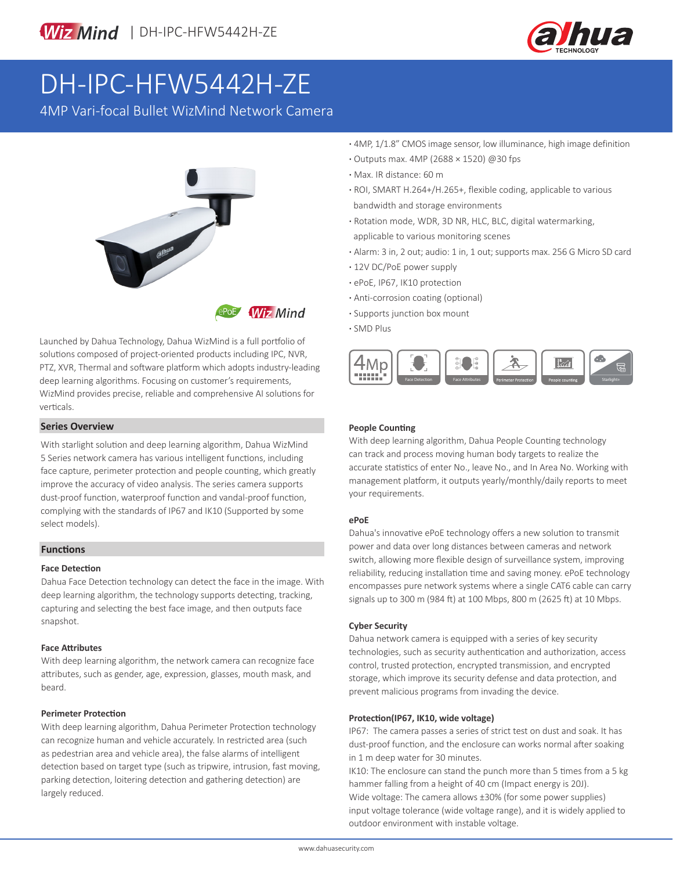



# DH-IPC-HFW5442H-ZE

4MP Vari-focal Bullet WizMind Network Camera



Launched by Dahua Technology, Dahua WizMind is a full portfolio of solutions composed of project-oriented products including IPC, NVR, PTZ, XVR, Thermal and software platform which adopts industry-leading deep learning algorithms. Focusing on customer's requirements, WizMind provides precise, reliable and comprehensive AI solutions for verticals.

### **Series Overview**

With starlight solution and deep learning algorithm, Dahua WizMind 5 Series network camera has various intelligent functions, including face capture, perimeter protection and people counting, which greatly improve the accuracy of video analysis. The series camera supports dust-proof function, waterproof function and vandal-proof function, complying with the standards of IP67 and IK10 (Supported by some select models).

### **Functions**

### **Face Detection**

Dahua Face Detection technology can detect the face in the image. With deep learning algorithm, the technology supports detecting, tracking, capturing and selecting the best face image, and then outputs face snapshot.

### **Face Attributes**

With deep learning algorithm, the network camera can recognize face attributes, such as gender, age, expression, glasses, mouth mask, and beard.

### **Perimeter Protection**

With deep learning algorithm, Dahua Perimeter Protection technology can recognize human and vehicle accurately. In restricted area (such as pedestrian area and vehicle area), the false alarms of intelligent detection based on target type (such as tripwire, intrusion, fast moving, parking detection, loitering detection and gathering detection) are largely reduced.

- **·** 4MP, 1/1.8" CMOS image sensor, low illuminance, high image definition
- **·** Outputs max. 4MP (2688 × 1520) @30 fps
- **·** Max. IR distance: 60 m
- **·** ROI, SMART H.264+/H.265+, flexible coding, applicable to various bandwidth and storage environments
- **·** Rotation mode, WDR, 3D NR, HLC, BLC, digital watermarking, applicable to various monitoring scenes
- **·** Alarm: 3 in, 2 out; audio: 1 in, 1 out; supports max. 256 G Micro SD card
- **·** 12V DC/PoE power supply
- **·** ePoE, IP67, IK10 protection
- **·** Anti-corrosion coating (optional)
- **·** Supports junction box mount
- **·** SMD Plus



### **People Counting**

With deep learning algorithm, Dahua People Counting technology can track and process moving human body targets to realize the accurate statistics of enter No., leave No., and In Area No. Working with management platform, it outputs yearly/monthly/daily reports to meet your requirements.

### **ePoE**

Dahua's innovative ePoE technology offers a new solution to transmit power and data over long distances between cameras and network switch, allowing more flexible design of surveillance system, improving reliability, reducing installation time and saving money. ePoE technology encompasses pure network systems where a single CAT6 cable can carry signals up to 300 m (984 ft) at 100 Mbps, 800 m (2625 ft) at 10 Mbps.

### **Cyber Security**

Dahua network camera is equipped with a series of key security technologies, such as security authentication and authorization, access control, trusted protection, encrypted transmission, and encrypted storage, which improve its security defense and data protection, and prevent malicious programs from invading the device.

### **Protection(IP67, IK10, wide voltage)**

IP67: The camera passes a series of strict test on dust and soak. It has dust-proof function, and the enclosure can works normal after soaking in 1 m deep water for 30 minutes.

IK10: The enclosure can stand the punch more than 5 times from a 5 kg hammer falling from a height of 40 cm (Impact energy is 20J). Wide voltage: The camera allows ±30% (for some power supplies) input voltage tolerance (wide voltage range), and it is widely applied to outdoor environment with instable voltage.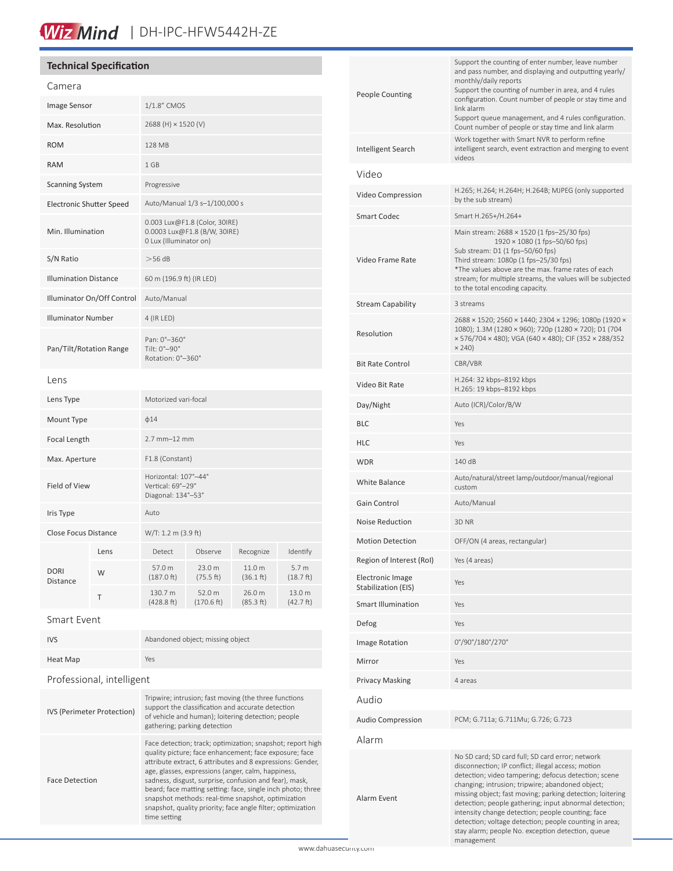# Wiz Mind | DH-IPC-HFW5442H-ZE

## **Technical Specification**

| Camera                          |      |                                                                                         |                      |                     |                               |
|---------------------------------|------|-----------------------------------------------------------------------------------------|----------------------|---------------------|-------------------------------|
| Image Sensor                    |      | 1/1.8" CMOS                                                                             |                      |                     |                               |
| Max. Resolution                 |      | 2688 (H) × 1520 (V)                                                                     |                      |                     |                               |
| <b>ROM</b>                      |      | 128 MB                                                                                  |                      |                     |                               |
| <b>RAM</b>                      |      | 1 GB                                                                                    |                      |                     |                               |
| <b>Scanning System</b>          |      | Progressive                                                                             |                      |                     |                               |
| <b>Electronic Shutter Speed</b> |      | Auto/Manual 1/3 s-1/100,000 s                                                           |                      |                     |                               |
| Min. Illumination               |      | 0.003 Lux@F1.8 (Color, 30IRE)<br>0.0003 Lux@F1.8 (B/W, 30IRE)<br>0 Lux (Illuminator on) |                      |                     |                               |
| S/N Ratio                       |      | >56 dB                                                                                  |                      |                     |                               |
| <b>Illumination Distance</b>    |      | 60 m (196.9 ft) (IR LED)                                                                |                      |                     |                               |
| Illuminator On/Off Control      |      | Auto/Manual                                                                             |                      |                     |                               |
| <b>Illuminator Number</b>       |      | 4 (IR LED)                                                                              |                      |                     |                               |
| Pan/Tilt/Rotation Range         |      | Pan: 0°-360°<br>Tilt: 0°-90°<br>Rotation: 0°-360°                                       |                      |                     |                               |
| Lens                            |      |                                                                                         |                      |                     |                               |
| Lens Type                       |      | Motorized vari-focal                                                                    |                      |                     |                               |
| Mount Type                      |      | $\phi$ 14                                                                               |                      |                     |                               |
| Focal Length                    |      | 2.7 mm-12 mm                                                                            |                      |                     |                               |
| Max. Aperture                   |      | F1.8 (Constant)                                                                         |                      |                     |                               |
| Field of View                   |      | Horizontal: 107°-44°<br>Vertical: 69°-29°<br>Diagonal: 134°-53°                         |                      |                     |                               |
| Iris Type                       |      | Auto                                                                                    |                      |                     |                               |
| <b>Close Focus Distance</b>     |      | W/T: 1.2 m (3.9 ft)                                                                     |                      |                     |                               |
| <b>DORI</b><br>Distance         | Lens | Detect                                                                                  | Observe              | Recognize           | Identify                      |
|                                 | W    | 57.0 m<br>$(187.0)$ ft)                                                                 | 23.0 m<br>(75.5 ft)  | 11.0 m<br>(36.1 ft) | 5.7 <sub>m</sub><br>(18.7 ft) |
|                                 | Τ    | 130.7 m<br>(428.8 ft)                                                                   | 52.0 m<br>(170.6 ft) | 26.0 m<br>(85.3 ft) | 13.0 m<br>(42.7 ft)           |

### Smart Event

| <b>IVS</b> | Abandoned object; missing object |
|------------|----------------------------------|
| Heat Map   | Yes                              |

## Professional, intelligent

| <b>IVS (Perimeter Protection)</b> | Tripwire; intrusion; fast moving (the three functions<br>support the classification and accurate detection<br>of vehicle and human); loitering detection; people<br>gathering; parking detection                                                                                                                                                                                                                                                                                                       |
|-----------------------------------|--------------------------------------------------------------------------------------------------------------------------------------------------------------------------------------------------------------------------------------------------------------------------------------------------------------------------------------------------------------------------------------------------------------------------------------------------------------------------------------------------------|
| <b>Face Detection</b>             | Face detection; track; optimization; snapshot; report high<br>quality picture; face enhancement; face exposure; face<br>attribute extract, 6 attributes and 8 expressions: Gender,<br>age, glasses, expressions (anger, calm, happiness,<br>sadness, disgust, surprise, confusion and fear), mask,<br>beard; face matting setting: face, single inch photo; three<br>snapshot methods: real-time snapshot, optimization<br>snapshot, quality priority; face angle filter; optimization<br>time setting |

| <b>People Counting</b>                         | Support the counting of enter number, leave number<br>and pass number, and displaying and outputting yearly/<br>monthly/daily reports<br>Support the counting of number in area, and 4 rules<br>configuration. Count number of people or stay time and<br>link alarm<br>Support queue management, and 4 rules configuration.<br>Count number of people or stay time and link alarm                                                                                                                                          |  |
|------------------------------------------------|-----------------------------------------------------------------------------------------------------------------------------------------------------------------------------------------------------------------------------------------------------------------------------------------------------------------------------------------------------------------------------------------------------------------------------------------------------------------------------------------------------------------------------|--|
| Intelligent Search                             | Work together with Smart NVR to perform refine<br>intelligent search, event extraction and merging to event<br>videos                                                                                                                                                                                                                                                                                                                                                                                                       |  |
| Video                                          |                                                                                                                                                                                                                                                                                                                                                                                                                                                                                                                             |  |
| Video Compression                              | H.265; H.264; H.264H; H.264B; MJPEG (only supported<br>by the sub stream)                                                                                                                                                                                                                                                                                                                                                                                                                                                   |  |
| Smart Codec                                    | Smart H.265+/H.264+                                                                                                                                                                                                                                                                                                                                                                                                                                                                                                         |  |
| Video Frame Rate                               | Main stream: 2688 × 1520 (1 fps-25/30 fps)<br>$1920 \times 1080$ (1 fps-50/60 fps)<br>Sub stream: D1 (1 fps-50/60 fps)<br>Third stream: 1080p (1 fps-25/30 fps)<br>*The values above are the max. frame rates of each<br>stream; for multiple streams, the values will be subjected<br>to the total encoding capacity.                                                                                                                                                                                                      |  |
| <b>Stream Capability</b>                       | 3 streams                                                                                                                                                                                                                                                                                                                                                                                                                                                                                                                   |  |
| Resolution                                     | 2688 × 1520; 2560 × 1440; 2304 × 1296; 1080p (1920 ×<br>1080); 1.3M (1280 × 960); 720p (1280 × 720); D1 (704<br>× 576/704 × 480); VGA (640 × 480); CIF (352 × 288/352<br>× 240)                                                                                                                                                                                                                                                                                                                                             |  |
| <b>Bit Rate Control</b>                        | CBR/VBR                                                                                                                                                                                                                                                                                                                                                                                                                                                                                                                     |  |
| Video Bit Rate                                 | H.264: 32 kbps-8192 kbps<br>H.265: 19 kbps-8192 kbps                                                                                                                                                                                                                                                                                                                                                                                                                                                                        |  |
| Day/Night                                      | Auto (ICR)/Color/B/W                                                                                                                                                                                                                                                                                                                                                                                                                                                                                                        |  |
| <b>BLC</b>                                     | Yes                                                                                                                                                                                                                                                                                                                                                                                                                                                                                                                         |  |
| <b>HLC</b>                                     | Yes                                                                                                                                                                                                                                                                                                                                                                                                                                                                                                                         |  |
| <b>WDR</b>                                     | 140 dB                                                                                                                                                                                                                                                                                                                                                                                                                                                                                                                      |  |
| White Balance                                  | Auto/natural/street lamp/outdoor/manual/regional<br>custom                                                                                                                                                                                                                                                                                                                                                                                                                                                                  |  |
| Gain Control                                   | Auto/Manual                                                                                                                                                                                                                                                                                                                                                                                                                                                                                                                 |  |
| Noise Reduction                                | 3D NR                                                                                                                                                                                                                                                                                                                                                                                                                                                                                                                       |  |
| <b>Motion Detection</b>                        | OFF/ON (4 areas, rectangular)                                                                                                                                                                                                                                                                                                                                                                                                                                                                                               |  |
| Region of Interest (RoI)                       | Yes (4 areas)                                                                                                                                                                                                                                                                                                                                                                                                                                                                                                               |  |
| <b>Electronic Image</b><br>Stabilization (EIS) | Yes                                                                                                                                                                                                                                                                                                                                                                                                                                                                                                                         |  |
| <b>Smart Illumination</b>                      | Yes                                                                                                                                                                                                                                                                                                                                                                                                                                                                                                                         |  |
| Defog                                          | Yes                                                                                                                                                                                                                                                                                                                                                                                                                                                                                                                         |  |
| Image Rotation                                 | 0°/90°/180°/270°                                                                                                                                                                                                                                                                                                                                                                                                                                                                                                            |  |
| Mirror                                         | Yes                                                                                                                                                                                                                                                                                                                                                                                                                                                                                                                         |  |
| <b>Privacy Masking</b>                         | 4 areas                                                                                                                                                                                                                                                                                                                                                                                                                                                                                                                     |  |
| Audio                                          |                                                                                                                                                                                                                                                                                                                                                                                                                                                                                                                             |  |
| <b>Audio Compression</b>                       | PCM; G.711a; G.711Mu; G.726; G.723                                                                                                                                                                                                                                                                                                                                                                                                                                                                                          |  |
| Alarm                                          |                                                                                                                                                                                                                                                                                                                                                                                                                                                                                                                             |  |
| Alarm Event                                    | No SD card; SD card full; SD card error; network<br>disconnection; IP conflict; illegal access; motion<br>detection; video tampering; defocus detection; scene<br>changing; intrusion; tripwire; abandoned object;<br>missing object; fast moving; parking detection; loitering<br>detection; people gathering; input abnormal detection;<br>intensity change detection; people counting; face<br>detection; voltage detection; people counting in area;<br>stay alarm; people No. exception detection, queue<br>management |  |